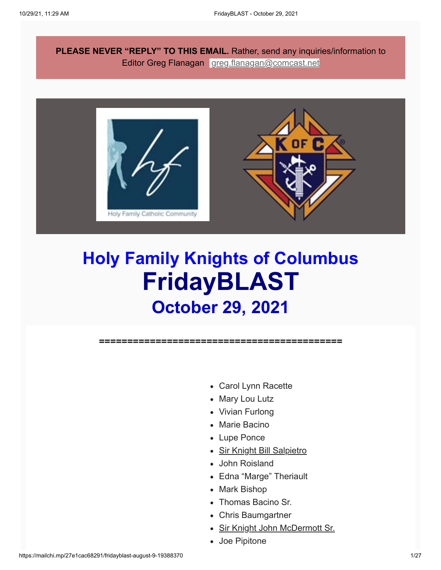**PLEASE NEVER "REPLY" TO THIS EMAIL.** Rather, send any inquiries/information to Editor Greg Flanagan [greg.flanagan@comcast.net](mailto:greg.flanagan@comcast.net)



# **Holy Family Knights of Columbus FridayBLAST October 29, 2021**

**===========================================**

- Carol Lynn Racette
- Mary Lou Lutz
- Vivian Furlong
- Marie Bacino
- Lupe Ponce
- Sir Knight Bill Salpietro
- John Roisland
- Edna "Marge" Theriault
- Mark Bishop
- Thomas Bacino Sr.
- Chris Baumgartner
- Sir Knight John McDermott Sr.
- Joe Pipitone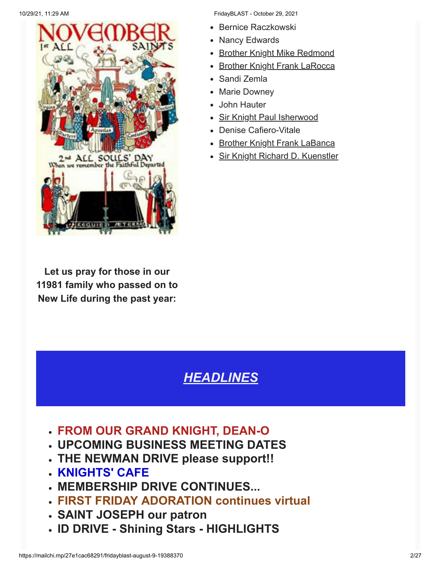

**Let us pray for those in our 11981 family who passed on to New Life during the past year:**

10/29/21, 11:29 AM FridayBLAST - October 29, 2021

- Bernice Raczkowski
- Nancy Edwards
- Brother Knight Mike Redmond
- Brother Knight Frank LaRocca
- Sandi Zemla
- Marie Downey
- John Hauter
- Sir Knight Paul Isherwood
- Denise Cafiero-Vitale
- Brother Knight Frank LaBanca
- Sir Knight Richard D. Kuenstler

*HEADLINES*

- **FROM OUR GRAND KNIGHT, DEAN-O**
- **UPCOMING BUSINESS MEETING DATES**
- **THE NEWMAN DRIVE please support!!**
- **KNIGHTS' CAFE**
- **MEMBERSHIP DRIVE CONTINUES...**
- **FIRST FRIDAY ADORATION continues virtual**
- **SAINT JOSEPH our patron**
- **ID DRIVE Shining Stars - HIGHLIGHTS**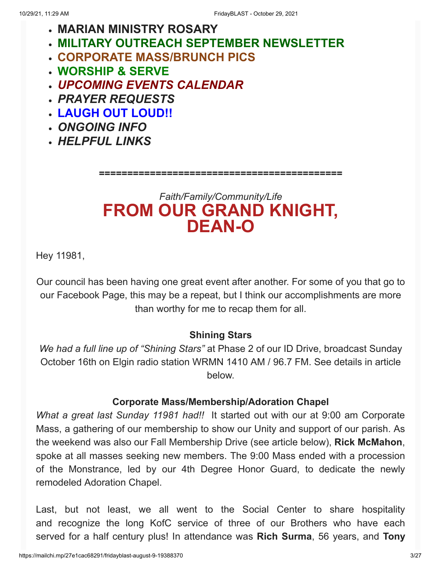- **MARIAN MINISTRY ROSARY**
- **MILITARY OUTREACH SEPTEMBER NEWSLETTER**
- **CORPORATE MASS/BRUNCH PICS**
- **WORSHIP & SERVE**
- *UPCOMING EVENTS CALENDAR*
- *PRAYER REQUESTS*
- **LAUGH OUT LOUD!!**
- *ONGOING INFO*
- *HELPFUL LINKS*

**===========================================**

## *Faith/Family/Community/Life* **FROM OUR GRAND KNIGHT, DEAN-O**

Hey 11981,

Our council has been having one great event after another. For some of you that go to our Facebook Page, this may be a repeat, but I think our accomplishments are more than worthy for me to recap them for all.

### **Shining Stars**

*We had a full line up of "Shining Stars"* at Phase 2 of our ID Drive, broadcast Sunday October 16th on Elgin radio station WRMN 1410 AM / 96.7 FM. See details in article below.

### **Corporate Mass/Membership/Adoration Chapel**

*What a great last Sunday 11981 had!!* It started out with our at 9:00 am Corporate Mass, a gathering of our membership to show our Unity and support of our parish. As the weekend was also our Fall Membership Drive (see article below), **Rick McMahon**, spoke at all masses seeking new members. The 9:00 Mass ended with a procession of the Monstrance, led by our 4th Degree Honor Guard, to dedicate the newly remodeled Adoration Chapel.

Last, but not least, we all went to the Social Center to share hospitality and recognize the long KofC service of three of our Brothers who have each served for a half century plus! In attendance was **Rich Surma**, 56 years, and **Tony**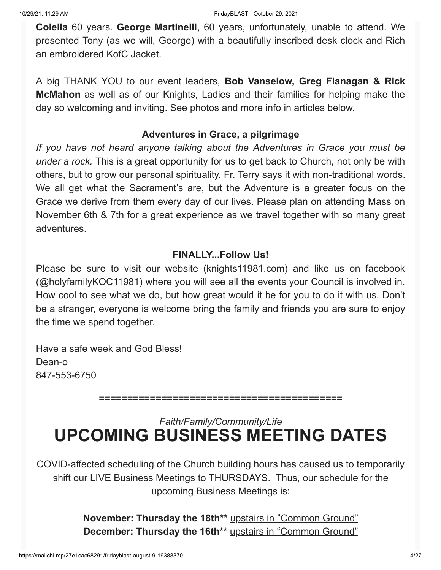**Colella** 60 years. **George Martinelli**, 60 years, unfortunately, unable to attend. We presented Tony (as we will, George) with a beautifully inscribed desk clock and Rich an embroidered KofC Jacket.

A big THANK YOU to our event leaders, **Bob Vanselow, Greg Flanagan & Rick McMahon** as well as of our Knights, Ladies and their families for helping make the day so welcoming and inviting. See photos and more info in articles below.

#### **Adventures in Grace, a pilgrimage**

*If you have not heard anyone talking about the Adventures in Grace you must be under a rock.* This is a great opportunity for us to get back to Church, not only be with others, but to grow our personal spirituality. Fr. Terry says it with non-traditional words. We all get what the Sacrament's are, but the Adventure is a greater focus on the Grace we derive from them every day of our lives. Please plan on attending Mass on November 6th & 7th for a great experience as we travel together with so many great adventures.

### **FINALLY...Follow Us!**

Please be sure to visit our website (knights11981.com) and like us on facebook (@holyfamilyKOC11981) where you will see all the events your Council is involved in. How cool to see what we do, but how great would it be for you to do it with us. Don't be a stranger, everyone is welcome bring the family and friends you are sure to enjoy the time we spend together.

Have a safe week and God Bless! Dean-o 847-553-6750

**===========================================**

# *Faith/Family/Community/Life* **UPCOMING BUSINESS MEETING DATES**

COVID-affected scheduling of the Church building hours has caused us to temporarily shift our LIVE Business Meetings to THURSDAYS. Thus, our schedule for the upcoming Business Meetings is:

> **November: Thursday the 18th\*\*** upstairs in "Common Ground" **December: Thursday the 16th\*\*** upstairs in "Common Ground"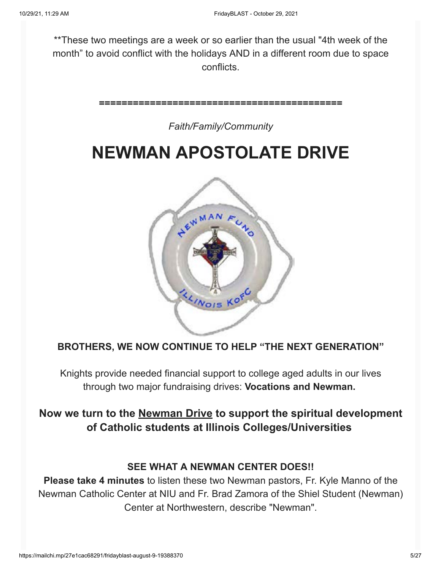\*\*These two meetings are a week or so earlier than the usual "4th week of the month" to avoid conflict with the holidays AND in a different room due to space conflicts.



### **BROTHERS, WE NOW CONTINUE TO HELP "THE NEXT GENERATION"**

Knights provide needed financial support to college aged adults in our lives through two major fundraising drives: **Vocations and Newman.**

### **Now we turn to the Newman Drive to support the spiritual development of Catholic students at Illinois Colleges/Universities**

#### **SEE WHAT A NEWMAN CENTER DOES!!**

**Please take 4 minutes** to listen these two Newman pastors, Fr. Kyle Manno of the Newman Catholic Center at NIU and Fr. Brad Zamora of the Shiel Student (Newman) Center at Northwestern, describe "Newman".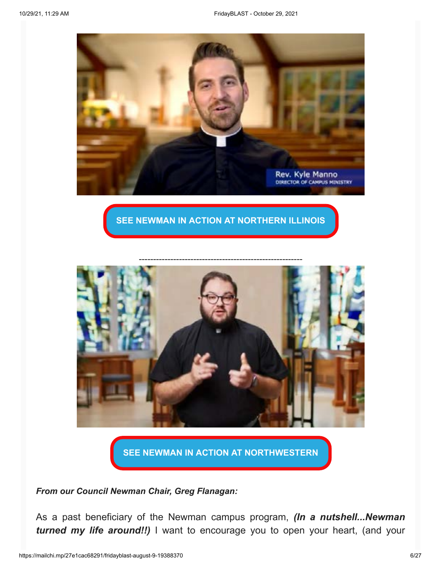

### **[SEE NEWMAN IN ACTION AT NORTHERN ILLINOIS](https://youtu.be/2NIvuNxBr8Y)**



**[SEE NEWMAN IN ACTION AT NORTHWESTERN](https://youtu.be/DiMK-nSHFi8)**

*From our Council Newman Chair, Greg Flanagan:*

As a past beneficiary of the Newman campus program, *(In a nutshell...Newman turned my life around!!)* I want to encourage you to open your heart, (and your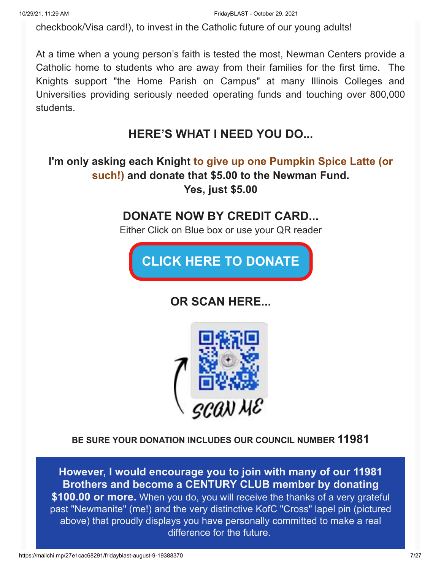checkbook/Visa card!), to invest in the Catholic future of our young adults!

At a time when a young person's faith is tested the most, Newman Centers provide a Catholic home to students who are away from their families for the first time. The Knights support "the Home Parish on Campus" at many Illinois Colleges and Universities providing seriously needed operating funds and touching over 800,000 students.

### **HERE'S WHAT I NEED YOU DO...**

### **I'm only asking each Knight to give up one Pumpkin Spice Latte (or such!) and donate that \$5.00 to the Newman Fund. Yes, just \$5.00**

### **DONATE NOW BY CREDIT CARD...**

Either Click on Blue box or use your QR reader



### **OR SCAN HERE...**



### **BE SURE YOUR DONATION INCLUDES OUR COUNCIL NUMBER 11981**

**However, I would encourage you to join with many of our 11981 Brothers and become a CENTURY CLUB member by donating \$100.00 or more.** When you do, you will receive the thanks of a very grateful past "Newmanite" (me!) and the very distinctive KofC "Cross" lapel pin (pictured above) that proudly displays you have personally committed to make a real difference for the future.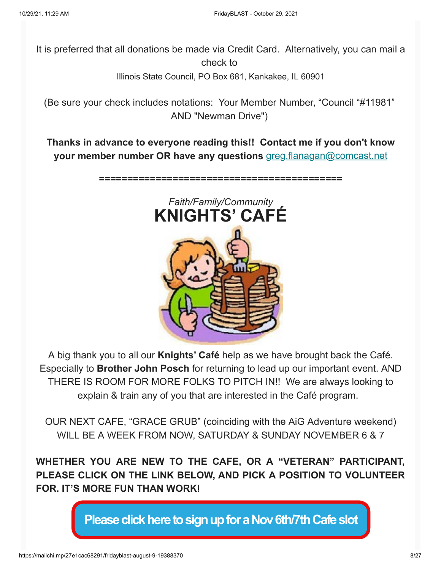It is preferred that all donations be made via Credit Card. Alternatively, you can mail a check to Illinois State Council, PO Box 681, Kankakee, IL 60901

(Be sure your check includes notations: Your Member Number, "Council "#11981" AND "Newman Drive")

**Thanks in advance to everyone reading this!! Contact me if you don't know your member number OR have any questions** [greg.flanagan@comcast.net](mailto:greg.flanagan@comcast.net)

**===========================================**



A big thank you to all our **Knights' Café** help as we have brought back the Café. Especially to **Brother John Posch** for returning to lead up our important event. AND THERE IS ROOM FOR MORE FOLKS TO PITCH IN!! We are always looking to explain & train any of you that are interested in the Café program.

OUR NEXT CAFE, "GRACE GRUB" (coinciding with the AiG Adventure weekend) WILL BE A WEEK FROM NOW, SATURDAY & SUNDAY NOVEMBER 6 & 7

**WHETHER YOU ARE NEW TO THE CAFE, OR A "VETERAN" PARTICIPANT, PLEASE CLICK ON THE LINK BELOW, AND PICK A POSITION TO VOLUNTEER FOR. IT'S MORE FUN THAN WORK!**

**[Please click here to sign up for a Nov 6th/7th Cafe slot](https://www.signupgenius.com/go/10C0449A5A62DA5F58-knights1)**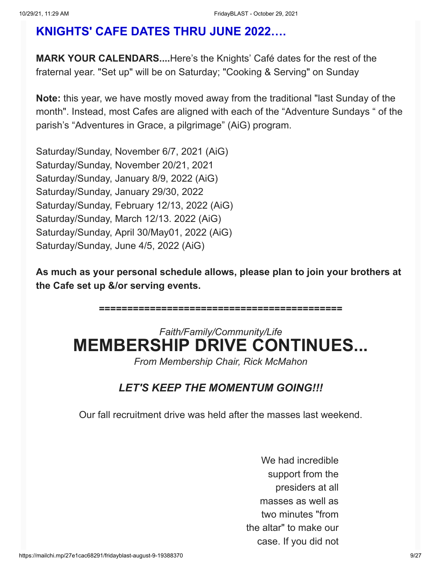### **KNIGHTS' CAFE DATES THRU JUNE 2022….**

**MARK YOUR CALENDARS....**Here's the Knights' Café dates for the rest of the fraternal year. "Set up" will be on Saturday; "Cooking & Serving" on Sunday

**Note:** this year, we have mostly moved away from the traditional "last Sunday of the month". Instead, most Cafes are aligned with each of the "Adventure Sundays " of the parish's "Adventures in Grace, a pilgrimage" (AiG) program.

Saturday/Sunday, November 6/7, 2021 (AiG) Saturday/Sunday, November 20/21, 2021 Saturday/Sunday, January 8/9, 2022 (AiG) Saturday/Sunday, January 29/30, 2022 Saturday/Sunday, February 12/13, 2022 (AiG) Saturday/Sunday, March 12/13. 2022 (AiG) Saturday/Sunday, April 30/May01, 2022 (AiG) Saturday/Sunday, June 4/5, 2022 (AiG)

**As much as your personal schedule allows, please plan to join your brothers at the Cafe set up &/or serving events.**

**===========================================**

## *Faith/Family/Community/Life* **MEMBERSHIP DRIVE CONTINUES...**

*From Membership Chair, Rick McMahon*

### *LET'S KEEP THE MOMENTUM GOING!!!*

Our fall recruitment drive was held after the masses last weekend.

We had incredible support from the presiders at all masses as well as two minutes "from the altar" to make our case. If you did not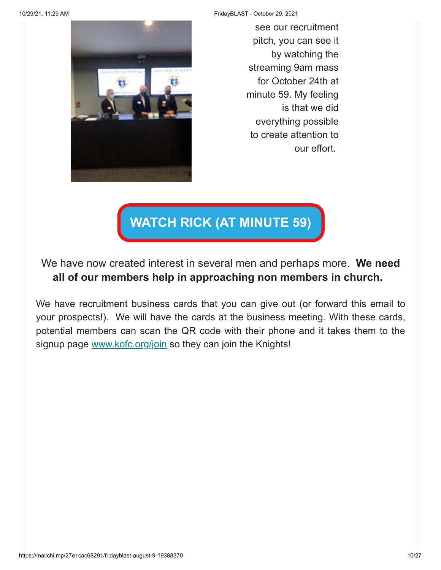see our recruitment pitch, you can see it by watching the streaming 9am mass for October 24th at minute 59. My feeling is that we did everything possible to create attention to our effort.



# **[WATCH RICK \(AT MINUTE 59\)](https://youtu.be/ZbmL_5BYK_E)**

### We have now created interest in several men and perhaps more. **We need all of our members help in approaching non members in church.**

We have recruitment business cards that you can give out (or forward this email to your prospects!). We will have the cards at the business meeting. With these cards, potential members can scan the QR code with their phone and it takes them to the signup page [www.kofc.org/join](http://www.kofc.org/join) so they can join the Knights!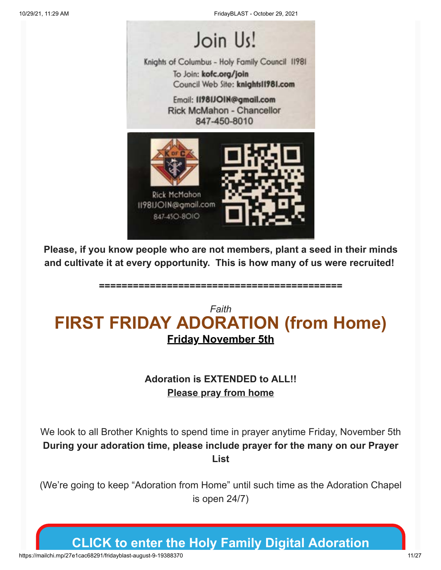

**Please, if you know people who are not members, plant a seed in their minds and cultivate it at every opportunity. This is how many of us were recruited!**

**===========================================**

## *Faith* **FIRST FRIDAY ADORATION (from Home) Friday November 5th**

**Adoration is EXTENDED to ALL!! Please pray from home**

We look to all Brother Knights to spend time in prayer anytime Friday, November 5th **During your adoration time, please include prayer for the many on our Prayer List**

(We're going to keep "Adoration from Home" until such time as the Adoration Chapel is open 24/7)



https://mailchi.mp/27e1cac68291/fridayblast-august-9-19388370 11/27<br>https://mailchi.mp/27e1cac68291/fridayblast-august-9-19388370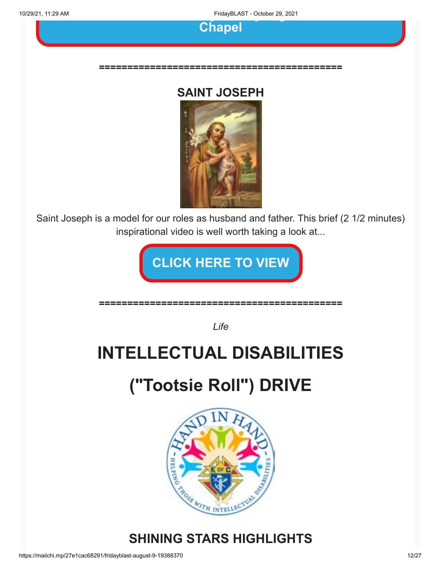

**===========================================**

### **SAINT JOSEPH**



Saint Joseph is a model for our roles as husband and father. This brief (2 1/2 minutes) inspirational video is well worth taking a look at...



**===========================================**

*Life*

# **INTELLECTUAL DISABILITIES**

# **("Tootsie Roll") DRIVE**



## **SHINING STARS HIGHLIGHTS**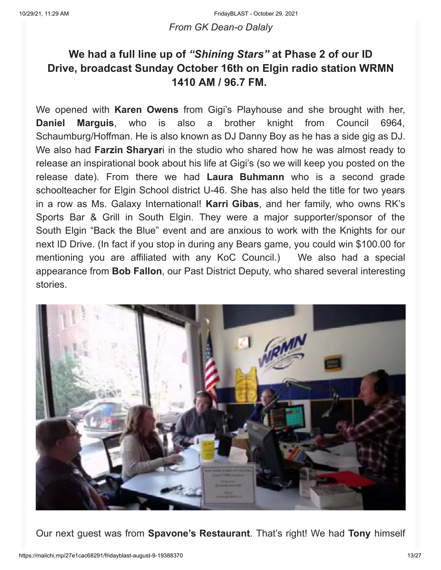*From GK Dean-o Dalaly*

### **We had a full line up of** *"Shining Stars"* **at Phase 2 of our ID Drive, broadcast Sunday October 16th on Elgin radio station WRMN 1410 AM / 96.7 FM.**

We opened with **Karen Owens** from Gigi's Playhouse and she brought with her, **Daniel Marguis**, who is also a brother knight from Council 6964, Schaumburg/Hoffman. He is also known as DJ Danny Boy as he has a side gig as DJ. We also had **Farzin Sharyar**i in the studio who shared how he was almost ready to release an inspirational book about his life at Gigi's (so we will keep you posted on the release date). From there we had **Laura Buhmann** who is a second grade schoolteacher for Elgin School district U-46. She has also held the title for two years in a row as Ms. Galaxy International! **Karri Gibas**, and her family, who owns RK's Sports Bar & Grill in South Elgin. They were a major supporter/sponsor of the South Elgin "Back the Blue" event and are anxious to work with the Knights for our next ID Drive. (In fact if you stop in during any Bears game, you could win \$100.00 for mentioning you are affiliated with any KoC Council.) We also had a special appearance from **Bob Fallon**, our Past District Deputy, who shared several interesting stories.



Our next guest was from **Spavone's Restaurant**. That's right! We had **Tony** himself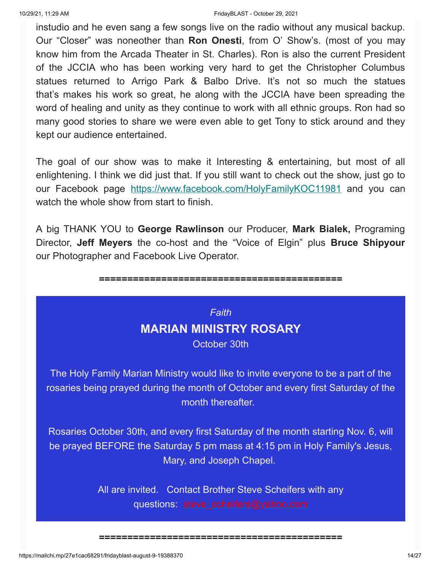instudio and he even sang a few songs live on the radio without any musical backup. Our "Closer" was noneother than **Ron Onesti**, from O' Show's. (most of you may know him from the Arcada Theater in St. Charles). Ron is also the current President of the JCCIA who has been working very hard to get the Christopher Columbus statues returned to Arrigo Park & Balbo Drive. It's not so much the statues that's makes his work so great, he along with the JCCIA have been spreading the word of healing and unity as they continue to work with all ethnic groups. Ron had so many good stories to share we were even able to get Tony to stick around and they kept our audience entertained.

The goal of our show was to make it Interesting & entertaining, but most of all enlightening. I think we did just that. If you still want to check out the show, just go to our Facebook page [https://www.facebook.com/HolyFamilyKOC11981](https://www.facebook.com/HolyFamilyKOC11981/) and you can watch the whole show from start to finish.

A big THANK YOU to **George Rawlinson** our Producer, **Mark Bialek,** Programing Director, **Jeff Meyers** the co-host and the "Voice of Elgin" plus **Bruce Shipyour** our Photographer and Facebook Live Operator.

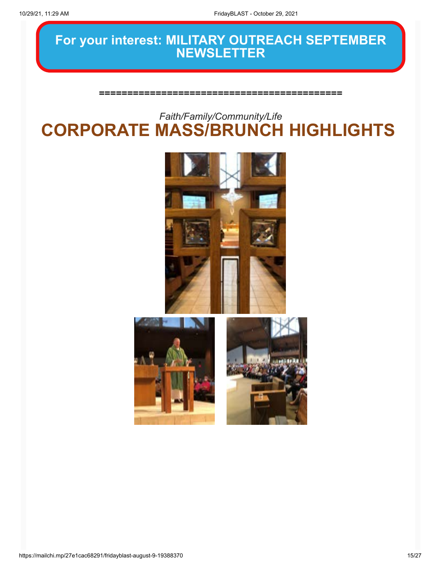### **[For your interest: MILITARY OUTREACH SEPTEMBER](https://www.militaryoutreachusa.org/wp-content/uploads/2021/09/September-2021-Newsletter-MOUSA.pdf) NEWSLETTER**

#### **===========================================**

# *Faith/Family/Community/Life* **CORPORATE MASS/BRUNCH HIGHLIGHTS**



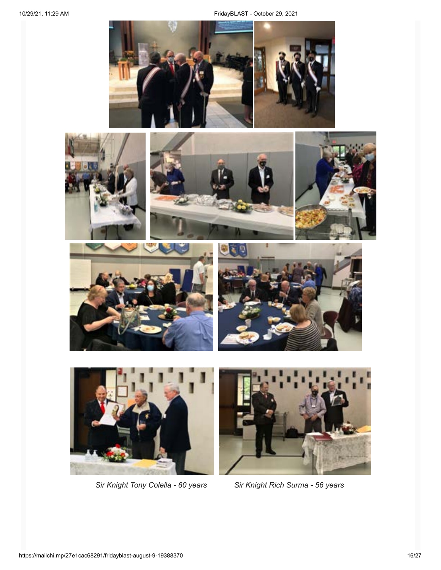













*Sir Knight Tony Colella - 60 years Sir Knight Rich Surma - 56 years*

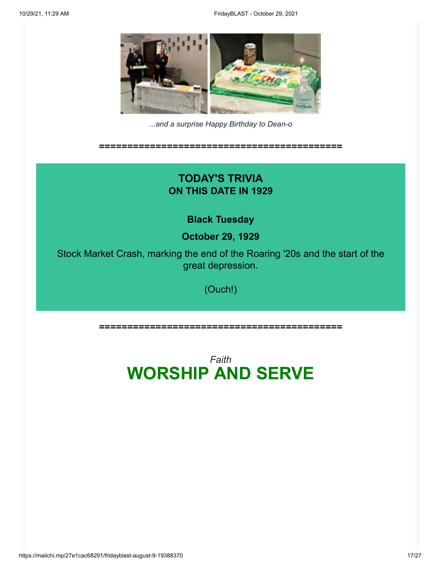

*...and a surprise Happy Birthday to Dean-o*

**===========================================**

### **TODAY'S TRIVIA ON THIS DATE IN 1929**

#### **Black Tuesday**

**October 29, 1929**

Stock Market Crash, marking the end of the Roaring '20s and the start of the great depression.

(Ouch!)

**===========================================**

# *Faith* **WORSHIP AND SERVE**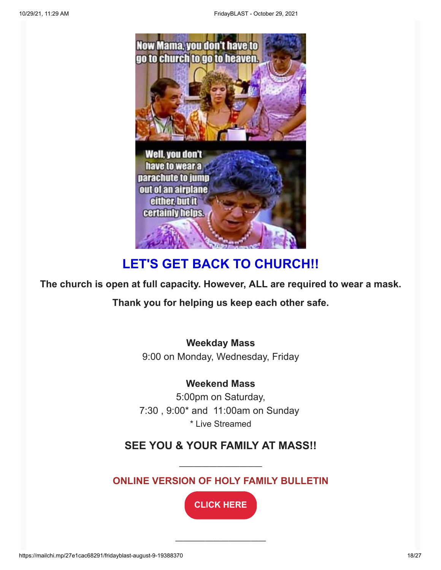

## **LET'S GET BACK TO CHURCH!!**

**The church is open at full capacity. However, ALL are required to wear a mask.**

**Thank you for helping us keep each other safe.**

**Weekday Mass** 9:00 on Monday, Wednesday, Friday

**Weekend Mass** 5:00pm on Saturday, 7:30 , 9:00\* and 11:00am on Sunday \* Live Streamed

**SEE YOU & YOUR FAMILY AT MASS!!**

**ONLINE VERSION OF HOLY FAMILY BULLETIN**

———————————

**[CLICK HERE](https://holyfamilyparish.org/category/bulletins/)**

————————————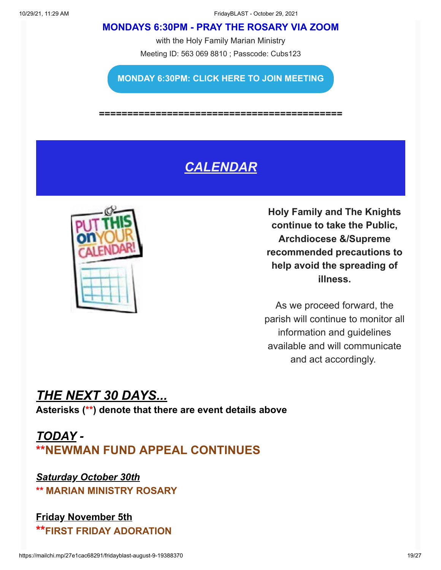### **MONDAYS 6:30PM - PRAY THE ROSARY VIA ZOOM**

with the Holy Family Marian Ministry Meeting ID: 563 069 8810 ; Passcode: Cubs123

### **[MONDAY 6:30PM: CLICK HERE TO JOIN MEETING](https://us04web.zoom.us/j/5630698810?pwd=L2NWWXNVNDNzODB2WWt4RXEwMEpnZz09)**

**===========================================**

# *CALENDAR*



**Holy Family and The Knights continue to take the Public, Archdiocese &/Supreme recommended precautions to help avoid the spreading of illness.**

As we proceed forward, the parish will continue to monitor all information and guidelines available and will communicate and act accordingly.

# *THE NEXT 30 DAYS...*

**Asterisks (\*\*) denote that there are event details above**

### *TODAY -* **\*\*NEWMAN FUND APPEAL CONTINUES**

# *Saturday October 30th*

**\*\* MARIAN MINISTRY ROSARY**

### **Friday November 5th \*\*FIRST FRIDAY ADORATION**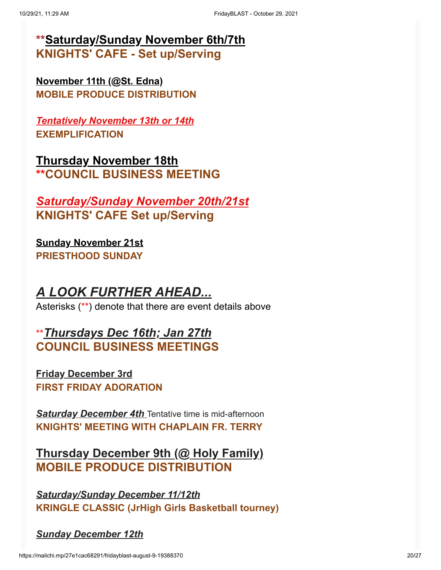### **\*\*Saturday/Sunday November 6th/7th KNIGHTS' CAFE - Set up/Serving**

**November 11th (@St. Edna) MOBILE PRODUCE DISTRIBUTION**

*Tentatively November 13th or 14th* **EXEMPLIFICATION**

**Thursday November 18th \*\*COUNCIL BUSINESS MEETING**

*Saturday/Sunday November 20th/21st* **KNIGHTS' CAFE Set up/Serving**

**Sunday November 21st PRIESTHOOD SUNDAY**

# *A LOOK FURTHER AHEAD...*

Asterisks (\*\*) denote that there are event details above

\*\**Thursdays Dec 16th; Jan 27th* **COUNCIL BUSINESS MEETINGS**

**Friday December 3rd FIRST FRIDAY ADORATION**

**Saturday December 4th** Tentative time is mid-afternoon **KNIGHTS' MEETING WITH CHAPLAIN FR. TERRY**

**Thursday December 9th (@ Holy Family) MOBILE PRODUCE DISTRIBUTION**

*Saturday/Sunday December 11/12th* **KRINGLE CLASSIC (JrHigh Girls Basketball tourney)**

*Sunday December 12th*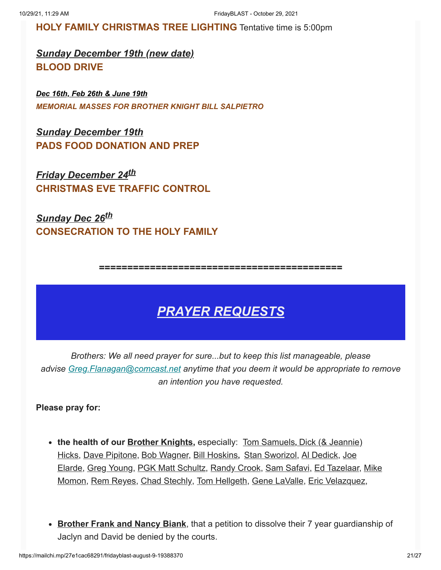**HOLY FAMILY CHRISTMAS TREE LIGHTING** Tentative time is 5:00pm

*Sunday December 19th (new date)* **BLOOD DRIVE**

*Dec 16th, Feb 26th & June 19th MEMORIAL MASSES FOR BROTHER KNIGHT BILL SALPIETRO*

*Sunday December 19th* **PADS FOOD DONATION AND PREP**

*Friday December 24th* **CHRISTMAS EVE TRAFFIC CONTROL**

*Sunday Dec 26th* **CONSECRATION TO THE HOLY FAMILY**

**===========================================**

# *PRAYER REQUESTS*

*Brothers: We all need prayer for sure...but to keep this list manageable, please advise [Greg.Flanagan@comcast.net](mailto:Greg.Flanagan@comcast.net) anytime that you deem it would be appropriate to remove an intention you have requested.*

**Please pray for:**

- **the health of our Brother Knights,** especially: Tom Samuels**,** Dick (& Jeannie) Hicks, Dave Pipitone, Bob Wagner, Bill Hoskins**,** Stan Sworizol, Al Dedick, Joe Elarde, Greg Young, PGK Matt Schultz, Randy Crook, Sam Safavi, Ed Tazelaar, Mike Momon, Rem Reyes, Chad Stechly, Tom Hellgeth, Gene LaValle, Eric Velazquez,
- **Brother Frank and Nancy Biank**, that a petition to dissolve their 7 year guardianship of Jaclyn and David be denied by the courts.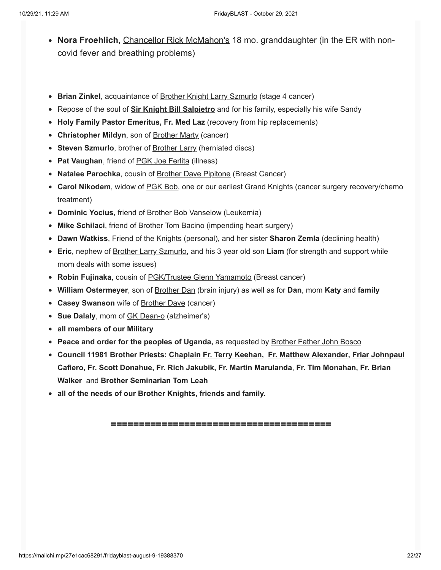- **Nora Froehlich,** Chancellor Rick McMahon's 18 mo. granddaughter (in the ER with noncovid fever and breathing problems)
- **Brian Zinkel**, acquaintance of Brother Knight Larry Szmurlo (stage 4 cancer)
- Repose of the soul of **Sir Knight Bill Salpietro** and for his family, especially his wife Sandy
- **Holy Family Pastor Emeritus, Fr. Med Laz** (recovery from hip replacements)
- **Christopher Mildyn**, son of Brother Marty (cancer)
- **Steven Szmurlo**, brother of Brother Larry (herniated discs)
- **Pat Vaughan**, friend of PGK Joe Ferlita (illness)
- **Natalee Parochka**, cousin of **Brother Dave Pipitone (Breast Cancer)**
- **Carol Nikodem**, widow of PGK Bob, one or our earliest Grand Knights (cancer surgery recovery/chemo treatment)
- **Dominic Yocius**, friend of Brother Bob Vanselow (Leukemia)
- **Mike Schilaci**, friend of Brother Tom Bacino (impending heart surgery)
- **Dawn Watkiss**, Friend of the Knights (personal), and her sister **Sharon Zemla** (declining health)
- **Eric**, nephew of Brother Larry Szmurlo, and his 3 year old son **Liam** (for strength and support while mom deals with some issues)
- **Robin Fujinaka**, cousin of PGK/Trustee Glenn Yamamoto (Breast cancer)
- **William Ostermeyer**, son of Brother Dan (brain injury) as well as for **Dan**, mom **Katy** and **family**
- **Casey Swanson** wife of Brother Dave (cancer)
- **Sue Dalaly**, mom of GK Dean-o (alzheimer's)
- **all members of our Military**
- **Peace and order for the peoples of Uganda,** as requested by Brother Father John Bosco
- **Council 11981 Brother Priests: Chaplain Fr. Terry Keehan, Fr. Matthew Alexander, Friar Johnpaul Cafiero, Fr. Scott Donahue, Fr. Rich Jakubik, Fr. Martin Marulanda**, **Fr. Tim Monahan, Fr. Brian Walker** and **Brother Seminarian Tom Leah**
- **all of the needs of our Brother Knights, friends and family.**

*=======================================*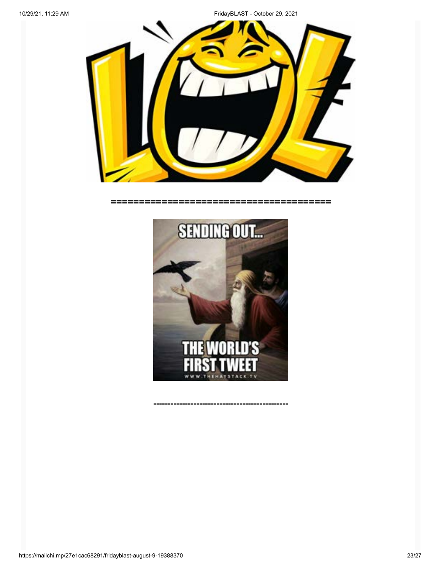

*=======================================*



**-----------------------------------------------**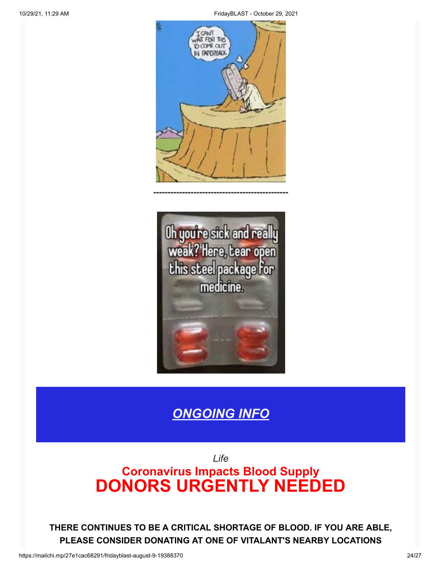

**-----------------------------------------------**



# *ONGOING INFO*

*Life*

# **Coronavirus Impacts Blood Supply DONORS URGENTLY NEEDED**

**THERE CONTINUES TO BE A CRITICAL SHORTAGE OF BLOOD. IF YOU ARE ABLE, PLEASE CONSIDER DONATING AT ONE OF VITALANT'S NEARBY LOCATIONS**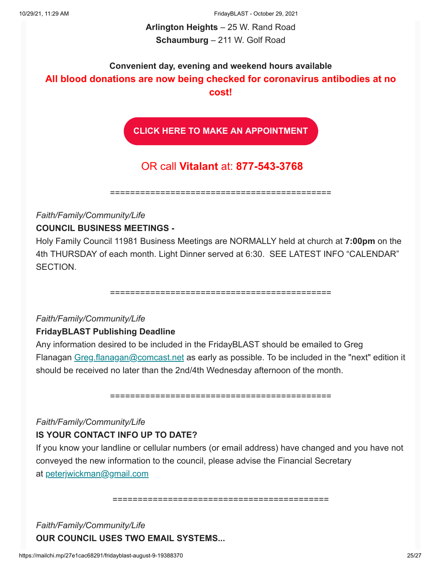**Arlington Heights** – [25 W. Rand Road](x-apple-data-detectors://2) **Schaumburg** – [211 W. Golf Road](x-apple-data-detectors://13)

#### **Convenient day, evening and weekend hours available**

### **All blood donations are now being checked for coronavirus antibodies at no cost!**

**[CLICK HERE TO MAKE AN APPOINTMENT](https://donateblood.lifesource.org/AppointmentScheduling.aspx)**

### OR call **Vitalant** at: **877-543-3768**

============================================

#### *Faith/Family/Community/Life*

#### **COUNCIL BUSINESS MEETINGS -**

Holy Family Council 11981 Business Meetings are NORMALLY held at church at **7:00pm** on the 4th THURSDAY of each month. Light Dinner served at 6:30. SEE LATEST INFO "CALENDAR" SECTION.

============================================

#### *Faith/Family/Community/Life*

#### **FridayBLAST Publishing Deadline**

Any information desired to be included in the FridayBLAST should be emailed to Greg Flanagan [Greg.flanagan@comcast.net](mailto:Greg.flanagan@comcast.net) as early as possible. To be included in the "next" edition it should be received no later than the 2nd/4th Wednesday afternoon of the month.

============================================

#### *Faith/Family/Community/Life*

#### **IS YOUR CONTACT INFO UP TO DATE?**

If you know your landline or cellular numbers (or email address) have changed and you have not conveyed the new information to the council, please advise the Financial Secretary at [peterjwickman@gmail.com](mailto:peterjwickman@gmail.com)

===========================================

*Faith/Family/Community/Life* **OUR COUNCIL USES TWO EMAIL SYSTEMS...**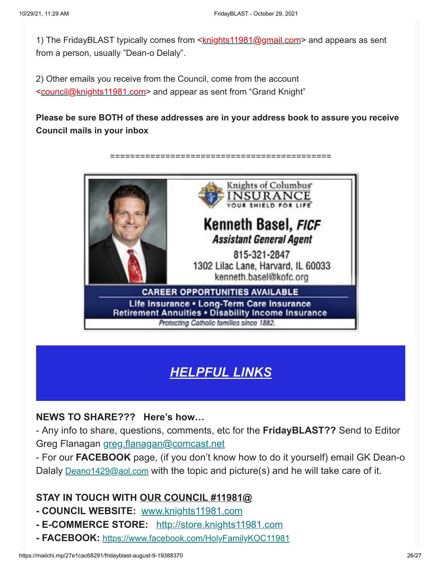1) The FridayBLAST typically comes from <**knights11981@gmail.com**> and appears as sent from a person, usually "Dean-o Delaly".

2) Other emails you receive from the Council, come from the account <[council@knights11981.com>](mailto:council@knights11981.com) and appear as sent from "Grand Knight"

**Please be sure BOTH of these addresses are in your address book to assure you receive Council mails in your inbox**

============================================



# *HELPFUL LINKS*

#### **NEWS TO SHARE??? Here's how…**

- Any info to share, questions, comments, etc for the **FridayBLAST??** Send to Editor Greg Flanagan [greg.flanagan@comcast.net](mailto:greg.flanagan@comcast.net)

- For our **FACEBOOK** page, (if you don't know how to do it yourself) email GK Dean-o Dalaly [Deano1429@aol.com](mailto:Deano1429@aol.com) with the topic and picture(s) and he will take care of it.

#### **STAY IN TOUCH WITH OUR COUNCIL #11981@**

- **COUNCIL WEBSITE:** [www.knights11981.com](https://knights11981.us15.list-manage.com/track/click?u=2f128f77850625eb2bc85aa8a&id=923d85e722&e=3275bc4193)
- **E-COMMERCE STORE:** [http://store.knights11981.com](https://knights11981.us15.list-manage.com/track/click?u=2f128f77850625eb2bc85aa8a&id=71f788f3a5&e=3275bc4193)
- **FACEBOOK:** [https://www.facebook.com/HolyFamilyKOC11981](https://www.facebook.com/HolyFamilyKOC11981/)